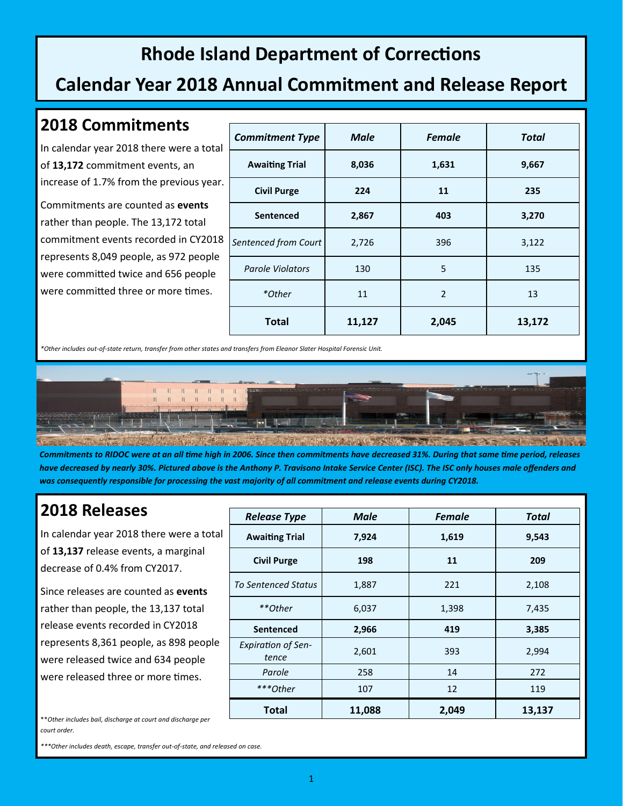## **Rhode Island Department of Corrections**

### **Calendar Year 2018 Annual Commitment and Release Report**

#### **2018 Commitments**

In calendar year 2018 there were a total of **13,172** commitment events, an increase of 1.7% from the previous year.

Commitments are counted as **events** rather than people. The 13,172 total commitment events recorded in CY2018 represents 8,049 people, as 972 people were committed twice and 656 people were committed three or more times.

| <b>Commitment Type</b>  | <b>Male</b> | <b>Female</b>  | <b>Total</b> |
|-------------------------|-------------|----------------|--------------|
| <b>Awaiting Trial</b>   | 8,036       | 1,631          | 9,667        |
| <b>Civil Purge</b>      | 224         | 11             | 235          |
| <b>Sentenced</b>        | 2,867       | 403            | 3,270        |
| Sentenced from Court    | 2,726       | 396            | 3,122        |
| <b>Parole Violators</b> | 130         | 5              | 135          |
| *Other                  | 11          | $\overline{2}$ | 13           |
| <b>Total</b>            | 11,127      | 2,045          | 13,172       |

*\*Other includes out-of-state return, transfer from other states and transfers from Eleanor Slater Hospital Forensic Unit.*



*Commitments to RIDOC were at an all time high in 2006. Since then commitments have decreased 31%. During that same time period, releases have decreased by nearly 30%. Pictured above is the Anthony P. Travisono Intake Service Center (ISC). The ISC only houses male offenders and*  was consequently responsible for processing the vast majority of all commitment and release events during CY2018.

#### **2018 Releases**

In calendar year 2018 there were a total of **13,137** release events, a marginal decrease of 0.4% from CY2017.

Since releases are counted as **events** rather than people, the 13,137 total release events recorded in CY2018 represents 8,361 people, as 898 people were released twice and 634 people were released three or more times.

| <b>Release Type</b>                | <b>Male</b> | <b>Female</b> | <b>Total</b> |
|------------------------------------|-------------|---------------|--------------|
| <b>Awaiting Trial</b>              | 7,924       | 1,619         | 9,543        |
| <b>Civil Purge</b>                 | 198         | 11            | 209          |
| <b>To Sentenced Status</b>         | 1,887       | 221           | 2,108        |
| **Other                            | 6,037       | 1,398         | 7,435        |
| <b>Sentenced</b>                   | 2,966       | 419           | 3,385        |
| <b>Expiration of Sen-</b><br>tence | 2,601       | 393           | 2,994        |
| Parole                             | 258         | 14            | 272          |
| ***Other                           | 107         | 12            | 119          |
| <b>Total</b>                       | 11,088      | 2,049         | 13,137       |

\*\**Other includes bail, discharge at court and discharge per court order.*

*\*\*\*Other includes death, escape, transfer out-of-state, and released on case.*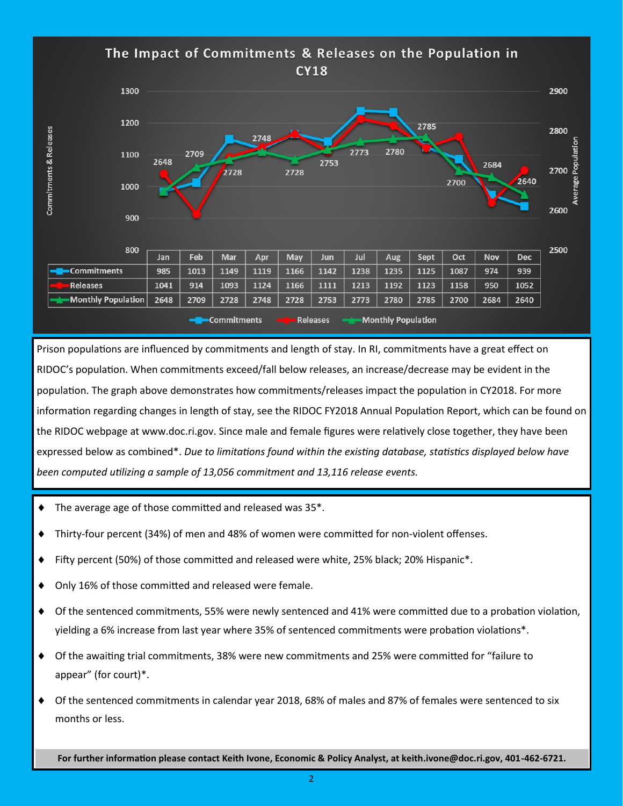The Impact of Commitments & Releases on the Population in **CY18** 1300 2900 1200 2785 Commitments & Releases 2800  $7748$ 2780 2773 1100 2753 2684 2700 2728 2728 2700 2640 1000 2600 900 800 2500 Feb Jul Jan Mar May Jun Oct Nov Dec. Apr Aug Sept **Commitments** 985 1013 1149 1119 1166 1142 1238 1235 1125 1087 974 939 **Releases** 1041 914 1093 1124 1166 1111 1213 1192 1123 1158 950 1052 **Monthly Population** 2648 2709 2728 2748 2728 2753 2773 2780 2785 2700 2684 2640 **Commitments Releases Monthly Population** 

Prison populations are influenced by commitments and length of stay. In RI, commitments have a great effect on RIDOC's population. When commitments exceed/fall below releases, an increase/decrease may be evident in the population. The graph above demonstrates how commitments/releases impact the population in CY2018. For more information regarding changes in length of stay, see the RIDOC FY2018 Annual Population Report, which can be found on the RIDOC webpage at www.doc.ri.gov. Since male and female figures were relatively close together, they have been expressed below as combined\*. *Due to limitations found within the existing database, statistics displayed below have been computed utilizing a sample of 13,056 commitment and 13,116 release events.* 

- $\blacklozenge$  The average age of those committed and released was 35 $\blacklozenge$ .
- Thirty-four percent (34%) of men and 48% of women were committed for non-violent offenses.
- Fifty percent (50%) of those committed and released were white, 25% black; 20% Hispanic\*.
- ◆ Only 16% of those committed and released were female.
- Of the sentenced commitments, 55% were newly sentenced and 41% were committed due to a probation violation, yielding a 6% increase from last year where 35% of sentenced commitments were probation violations\*.
- Of the awaiting trial commitments, 38% were new commitments and 25% were committed for "failure to appear" (for court)\*.
- Of the sentenced commitments in calendar year 2018, 68% of males and 87% of females were sentenced to six months or less.

**For further information please contact Keith Ivone, Economic & Policy Analyst, at keith.ivone@doc.ri.gov, 401-462-6721.**